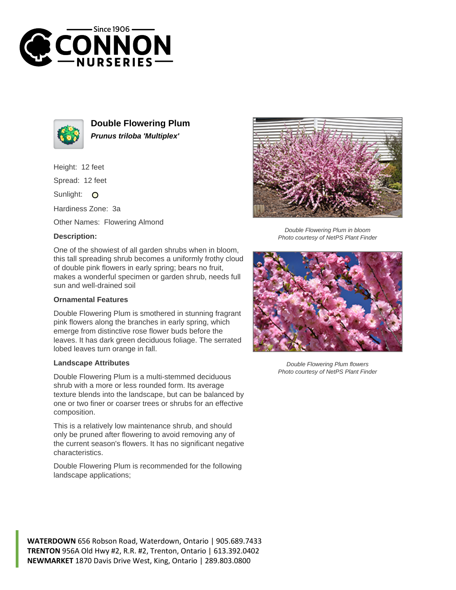



**Double Flowering Plum Prunus triloba 'Multiplex'**

Height: 12 feet

Spread: 12 feet

Sunlight: O

Hardiness Zone: 3a

Other Names: Flowering Almond

## **Description:**

One of the showiest of all garden shrubs when in bloom, this tall spreading shrub becomes a uniformly frothy cloud of double pink flowers in early spring; bears no fruit, makes a wonderful specimen or garden shrub, needs full sun and well-drained soil

## **Ornamental Features**

Double Flowering Plum is smothered in stunning fragrant pink flowers along the branches in early spring, which emerge from distinctive rose flower buds before the leaves. It has dark green deciduous foliage. The serrated lobed leaves turn orange in fall.

## **Landscape Attributes**

Double Flowering Plum is a multi-stemmed deciduous shrub with a more or less rounded form. Its average texture blends into the landscape, but can be balanced by one or two finer or coarser trees or shrubs for an effective composition.

This is a relatively low maintenance shrub, and should only be pruned after flowering to avoid removing any of the current season's flowers. It has no significant negative characteristics.

Double Flowering Plum is recommended for the following landscape applications;



Double Flowering Plum in bloom Photo courtesy of NetPS Plant Finder



Double Flowering Plum flowers Photo courtesy of NetPS Plant Finder

**WATERDOWN** 656 Robson Road, Waterdown, Ontario | 905.689.7433 **TRENTON** 956A Old Hwy #2, R.R. #2, Trenton, Ontario | 613.392.0402 **NEWMARKET** 1870 Davis Drive West, King, Ontario | 289.803.0800